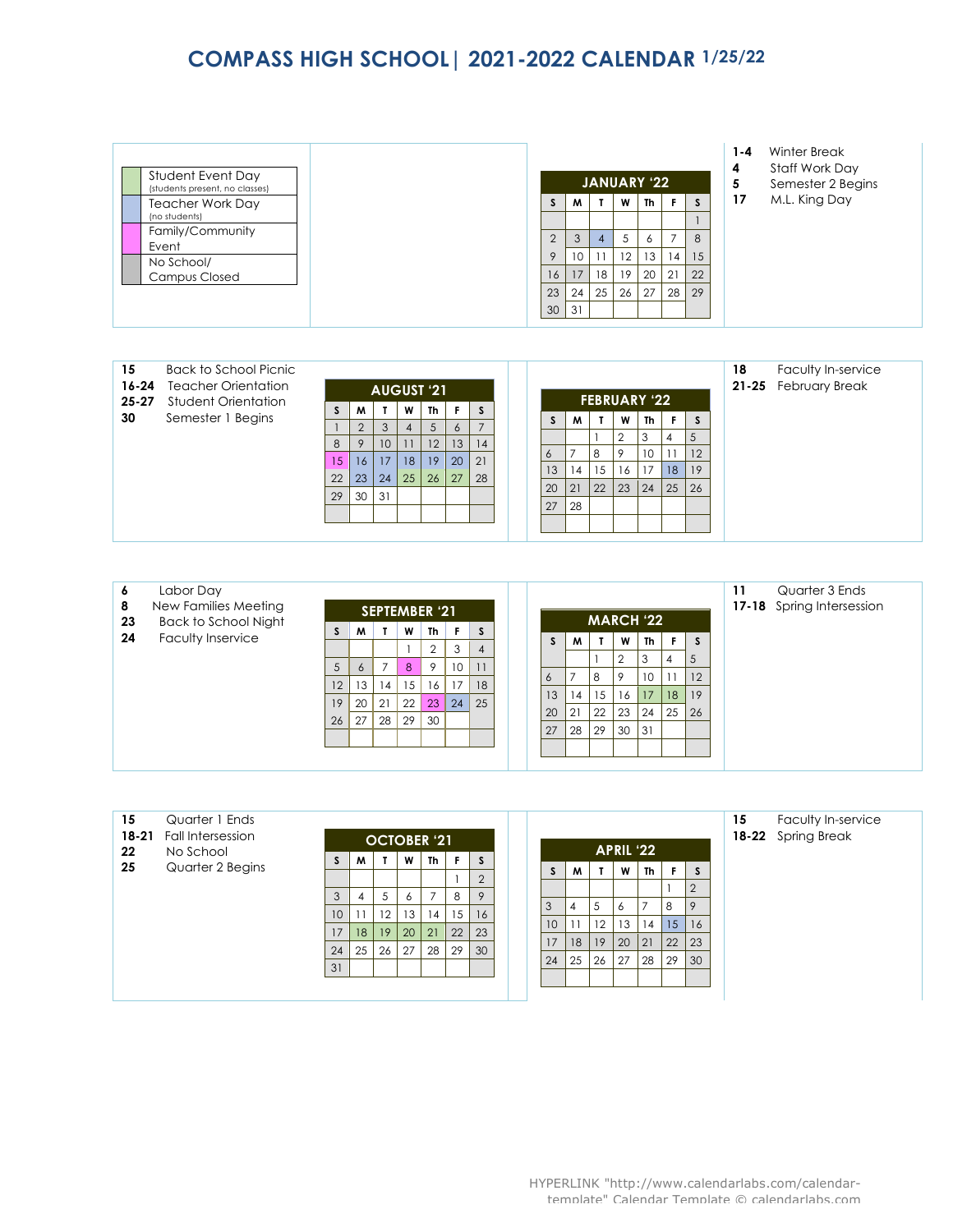## **COMPASS HIGH SCHOOL| 2021-2022 CALENDAR 1/25/22**

| Student Event Day<br>(students present, no classes) |
|-----------------------------------------------------|
| <b>Teacher Work Day</b><br>(no students)            |
| Family/Community<br>Event                           |
| No School/                                          |
| <b>Campus Closed</b>                                |
|                                                     |
|                                                     |

| 15<br>$16 - 24$<br>$25 - 27$ | Back to School Picnic<br><b>Teacher Orientation</b><br>Student Orientation |    |                |                 |    | <b>AUGUST '21</b> |         |                     |                |      | <b>FEBRUARY '22</b> |             |    |                |    | 18 | Faculty In-service<br>21-25 February Break |
|------------------------------|----------------------------------------------------------------------------|----|----------------|-----------------|----|-------------------|---------|---------------------|----------------|------|---------------------|-------------|----|----------------|----|----|--------------------------------------------|
| 30                           | Semester 1 Begins                                                          |    | M              |                 | W  | Th                |         | S<br>$\overline{ }$ | S              | M    | $\mathbf{I}$        | W           | Th |                |    |    |                                            |
|                              |                                                                            |    | $\overline{2}$ | 3               | 4  | 5                 | $\circ$ |                     |                |      |                     | $\Omega$    | 3  |                |    |    |                                            |
|                              |                                                                            | 8  | 9              | 10 <sup>°</sup> |    | 12                | 13      | 14                  |                |      |                     |             |    | $\overline{4}$ |    |    |                                            |
|                              |                                                                            | 15 | 16             | 17              | 18 | 19                | 20      | 21                  | $\ddot{\circ}$ |      | 8                   | $\mathsf Q$ | 10 |                | 12 |    |                                            |
|                              |                                                                            | 22 | 23             | 24              | 25 | 26                | 127     | 28                  | 13             | 14   | 15                  | 16          | 17 | 18             | 19 |    |                                            |
|                              |                                                                            |    |                |                 |    |                   |         |                     | 20             | l 21 | 22                  | 23          | 24 | 125            | 26 |    |                                            |
|                              |                                                                            | 29 | 30             | 31              |    |                   |         |                     |                |      |                     |             |    |                |    |    |                                            |
|                              |                                                                            |    |                |                 |    |                   |         |                     | 27             | 28   |                     |             |    |                |    |    |                                            |
|                              |                                                                            |    |                |                 |    |                   |         |                     |                |      |                     |             |    |                |    |    |                                            |

| 6<br>8<br>23 | Labor Day<br>New Families Meeting<br><b>Back to School Night</b> | S. | M  | <b>SEPTEMBER '21</b> | W  | Th | F. | <sub>S</sub>   |                 |    | <b>MARCH '22</b> |    |           |    |         | 11 | Quarter 3 Ends<br>17-18 Spring Intersession |
|--------------|------------------------------------------------------------------|----|----|----------------------|----|----|----|----------------|-----------------|----|------------------|----|-----------|----|---------|----|---------------------------------------------|
| 24           | Faculty Inservice                                                |    |    |                      |    |    | 3  | $\overline{4}$ | S.              | M  | T                | W  | <b>Th</b> | F. | S.      |    |                                             |
|              |                                                                  |    |    |                      |    |    |    |                |                 |    |                  | 2  | 3         | -4 | $\cdot$ |    |                                             |
|              |                                                                  | 5  | 6  |                      | 8  | 9  | 10 | 11             |                 |    |                  |    |           |    |         |    |                                             |
|              |                                                                  | 12 | 13 | 14                   | 15 | 16 | 17 | 18             | $\ddot{\circ}$  |    | 8                | -9 | 10        |    | 12      |    |                                             |
|              |                                                                  |    |    |                      |    |    |    |                | 13 <sup>7</sup> | 14 | 15               | 16 | 17        | 18 | 19      |    |                                             |
|              |                                                                  | 19 | 20 | 21                   | 22 | 23 | 24 | 25             | 20              | 21 | 22               | 23 | 24        | 25 | 26      |    |                                             |
|              |                                                                  | 26 | 27 | 28                   | 29 | 30 |    |                |                 |    |                  |    |           |    |         |    |                                             |
|              |                                                                  |    |    |                      |    |    |    |                | 27              | 28 | 29               | 30 | 31        |    |         |    |                                             |
|              |                                                                  |    |    |                      |    |    |    |                |                 |    |                  |    |           |    |         |    |                                             |
|              |                                                                  |    |    |                      |    |    |    |                |                 |    |                  |    |           |    |         |    |                                             |

| 15 | Quarter 1 Ends          |
|----|-------------------------|
|    | 18-21 Fall Intersession |

**22** No School

**25** Quarter 2 Begins

| <b>OCTOBER '21</b> |                |    |    |           |    |                |  |  |  |  |  |
|--------------------|----------------|----|----|-----------|----|----------------|--|--|--|--|--|
| S                  | M              | T  | W  | <b>Th</b> | F  | S              |  |  |  |  |  |
|                    |                |    |    |           |    | $\overline{2}$ |  |  |  |  |  |
| 3                  | $\overline{4}$ | 5  | 6  |           | 8  | 9              |  |  |  |  |  |
| 10                 |                | 12 | 13 | 14        | 15 | 16             |  |  |  |  |  |
| 17                 | 18             | 19 | 20 | 21        | 22 | 23             |  |  |  |  |  |
| 24                 | 25             | 26 | 27 | 28        | 29 | 30             |  |  |  |  |  |
| 31                 |                |    |    |           |    |                |  |  |  |  |  |

**APRIL '22**  $S$   $M$   $T$   $W$   $Th$   $F$   $S$  $1 \mid 2$ 3 4 5 6 7 8 9 10 11 12 13 14 15 16 17 18 19 20 21 22 23 24 25 26 27 28 29 30

## 15 Faculty In-service **18-22** Spring Break

| HYPERLINK "http://www.calendarlabs.com/calendar- |
|--------------------------------------------------|
| template" Calendar Template © calendariabs com   |

l.